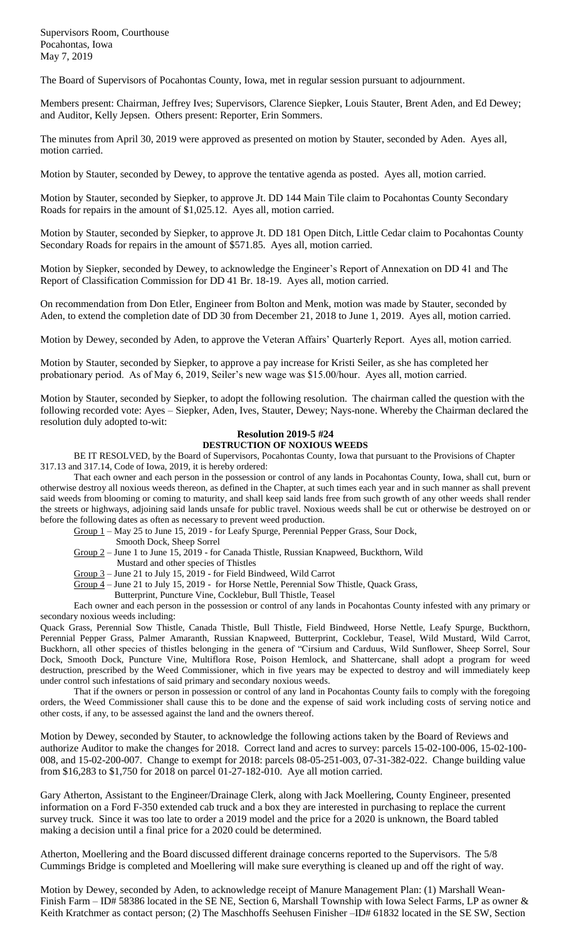The Board of Supervisors of Pocahontas County, Iowa, met in regular session pursuant to adjournment.

Members present: Chairman, Jeffrey Ives; Supervisors, Clarence Siepker, Louis Stauter, Brent Aden, and Ed Dewey; and Auditor, Kelly Jepsen. Others present: Reporter, Erin Sommers.

The minutes from April 30, 2019 were approved as presented on motion by Stauter, seconded by Aden. Ayes all, motion carried.

Motion by Stauter, seconded by Dewey, to approve the tentative agenda as posted. Ayes all, motion carried.

Motion by Stauter, seconded by Siepker, to approve Jt. DD 144 Main Tile claim to Pocahontas County Secondary Roads for repairs in the amount of \$1,025.12. Ayes all, motion carried.

Motion by Stauter, seconded by Siepker, to approve Jt. DD 181 Open Ditch, Little Cedar claim to Pocahontas County Secondary Roads for repairs in the amount of \$571.85. Ayes all, motion carried.

Motion by Siepker, seconded by Dewey, to acknowledge the Engineer's Report of Annexation on DD 41 and The Report of Classification Commission for DD 41 Br. 18-19. Ayes all, motion carried.

On recommendation from Don Etler, Engineer from Bolton and Menk, motion was made by Stauter, seconded by Aden, to extend the completion date of DD 30 from December 21, 2018 to June 1, 2019. Ayes all, motion carried.

Motion by Dewey, seconded by Aden, to approve the Veteran Affairs' Quarterly Report. Ayes all, motion carried.

Motion by Stauter, seconded by Siepker, to approve a pay increase for Kristi Seiler, as she has completed her probationary period. As of May 6, 2019, Seiler's new wage was \$15.00/hour. Ayes all, motion carried.

Motion by Stauter, seconded by Siepker, to adopt the following resolution. The chairman called the question with the following recorded vote: Ayes – Siepker, Aden, Ives, Stauter, Dewey; Nays-none. Whereby the Chairman declared the resolution duly adopted to-wit:

## **Resolution 2019-5 #24**

## **DESTRUCTION OF NOXIOUS WEEDS**

BE IT RESOLVED, by the Board of Supervisors, Pocahontas County, Iowa that pursuant to the Provisions of Chapter 317.13 and 317.14, Code of Iowa, 2019, it is hereby ordered:

That each owner and each person in the possession or control of any lands in Pocahontas County, Iowa, shall cut, burn or otherwise destroy all noxious weeds thereon, as defined in the Chapter, at such times each year and in such manner as shall prevent said weeds from blooming or coming to maturity, and shall keep said lands free from such growth of any other weeds shall render the streets or highways, adjoining said lands unsafe for public travel. Noxious weeds shall be cut or otherwise be destroyed on or before the following dates as often as necessary to prevent weed production.

Group 1 – May 25 to June 15, 2019 - for Leafy Spurge, Perennial Pepper Grass, Sour Dock,

Smooth Dock, Sheep Sorrel

- Group 2 June 1 to June 15, 2019 for Canada Thistle, Russian Knapweed, Buckthorn, Wild
	- Mustard and other species of Thistles
- Group 3 June 21 to July 15, 2019 for Field Bindweed, Wild Carrot
- Group 4 June 21 to July 15, 2019 for Horse Nettle, Perennial Sow Thistle, Quack Grass,
	- Butterprint, Puncture Vine, Cocklebur, Bull Thistle, Teasel

Each owner and each person in the possession or control of any lands in Pocahontas County infested with any primary or secondary noxious weeds including:

Quack Grass, Perennial Sow Thistle, Canada Thistle, Bull Thistle, Field Bindweed, Horse Nettle, Leafy Spurge, Buckthorn, Perennial Pepper Grass, Palmer Amaranth, Russian Knapweed, Butterprint, Cocklebur, Teasel, Wild Mustard, Wild Carrot, Buckhorn, all other species of thistles belonging in the genera of "Cirsium and Carduus, Wild Sunflower, Sheep Sorrel, Sour Dock, Smooth Dock, Puncture Vine, Multiflora Rose, Poison Hemlock, and Shattercane, shall adopt a program for weed destruction, prescribed by the Weed Commissioner, which in five years may be expected to destroy and will immediately keep under control such infestations of said primary and secondary noxious weeds.

That if the owners or person in possession or control of any land in Pocahontas County fails to comply with the foregoing orders, the Weed Commissioner shall cause this to be done and the expense of said work including costs of serving notice and other costs, if any, to be assessed against the land and the owners thereof.

Motion by Dewey, seconded by Stauter, to acknowledge the following actions taken by the Board of Reviews and authorize Auditor to make the changes for 2018. Correct land and acres to survey: parcels 15-02-100-006, 15-02-100- 008, and 15-02-200-007. Change to exempt for 2018: parcels 08-05-251-003, 07-31-382-022. Change building value from \$16,283 to \$1,750 for 2018 on parcel 01-27-182-010. Aye all motion carried.

Gary Atherton, Assistant to the Engineer/Drainage Clerk, along with Jack Moellering, County Engineer, presented information on a Ford F-350 extended cab truck and a box they are interested in purchasing to replace the current survey truck. Since it was too late to order a 2019 model and the price for a 2020 is unknown, the Board tabled making a decision until a final price for a 2020 could be determined.

Atherton, Moellering and the Board discussed different drainage concerns reported to the Supervisors. The 5/8 Cummings Bridge is completed and Moellering will make sure everything is cleaned up and off the right of way.

Motion by Dewey, seconded by Aden, to acknowledge receipt of Manure Management Plan: (1) Marshall Wean-Finish Farm – ID# 58386 located in the SE NE, Section 6, Marshall Township with Iowa Select Farms, LP as owner & Keith Kratchmer as contact person; (2) The Maschhoffs Seehusen Finisher –ID# 61832 located in the SE SW, Section